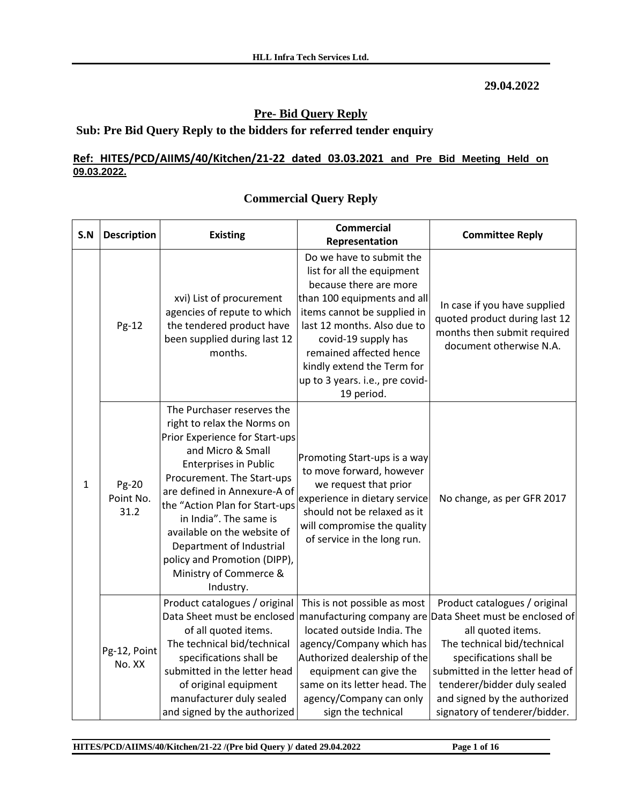#### **29.04.2022**

## **Pre- Bid Query Reply**

## **Sub: Pre Bid Query Reply to the bidders for referred tender enquiry**

### **Ref: HITES/PCD/AIIMS/40/Kitchen/21-22 dated 03.03.2021 and Pre Bid Meeting Held on 09.03.2022.**

| S.N | <b>Description</b>         | <b>Existing</b>                                                                                                                                                                                                                                                                                                                                                                                              | <b>Commercial</b><br><b>Committee Reply</b><br>Representation                                                                                                                                                                                                                                                  |                                                                                                                                                                                                                                                                                   |
|-----|----------------------------|--------------------------------------------------------------------------------------------------------------------------------------------------------------------------------------------------------------------------------------------------------------------------------------------------------------------------------------------------------------------------------------------------------------|----------------------------------------------------------------------------------------------------------------------------------------------------------------------------------------------------------------------------------------------------------------------------------------------------------------|-----------------------------------------------------------------------------------------------------------------------------------------------------------------------------------------------------------------------------------------------------------------------------------|
|     | Pg-12                      | xvi) List of procurement<br>agencies of repute to which<br>the tendered product have<br>been supplied during last 12<br>months.                                                                                                                                                                                                                                                                              | Do we have to submit the<br>list for all the equipment<br>because there are more<br>than 100 equipments and all<br>items cannot be supplied in<br>last 12 months. Also due to<br>covid-19 supply has<br>remained affected hence<br>kindly extend the Term for<br>up to 3 years. i.e., pre covid-<br>19 period. | In case if you have supplied<br>quoted product during last 12<br>months then submit required<br>document otherwise N.A.                                                                                                                                                           |
| 1   | Pg-20<br>Point No.<br>31.2 | The Purchaser reserves the<br>right to relax the Norms on<br>Prior Experience for Start-ups<br>and Micro & Small<br><b>Enterprises in Public</b><br>Procurement. The Start-ups<br>are defined in Annexure-A of<br>the "Action Plan for Start-ups<br>in India". The same is<br>available on the website of<br>Department of Industrial<br>policy and Promotion (DIPP),<br>Ministry of Commerce &<br>Industry. | Promoting Start-ups is a way<br>to move forward, however<br>we request that prior<br>experience in dietary service<br>No change, as per GFR 2017<br>should not be relaxed as it<br>will compromise the quality<br>of service in the long run.                                                                  |                                                                                                                                                                                                                                                                                   |
|     | Pg-12, Point<br>No. XX     | Product catalogues / original<br>Data Sheet must be enclosed<br>of all quoted items.<br>The technical bid/technical<br>specifications shall be<br>submitted in the letter head<br>of original equipment<br>manufacturer duly sealed<br>and signed by the authorized                                                                                                                                          | This is not possible as most<br>manufacturing company are<br>located outside India. The<br>agency/Company which has<br>Authorized dealership of the<br>equipment can give the<br>same on its letter head. The<br>agency/Company can only<br>sign the technical                                                 | Product catalogues / original<br>Data Sheet must be enclosed of<br>all quoted items.<br>The technical bid/technical<br>specifications shall be<br>submitted in the letter head of<br>tenderer/bidder duly sealed<br>and signed by the authorized<br>signatory of tenderer/bidder. |

## **Commercial Query Reply**

**HITES/PCD/AIIMS/40/Kitchen/21-22 /(Pre bid Query )/ dated 29.04.2022 Page 1 of 16**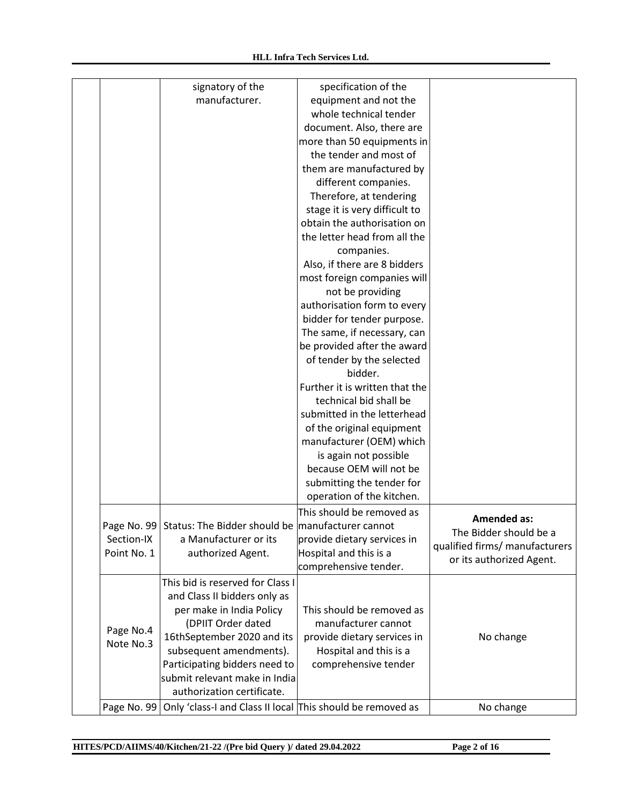|             | signatory of the                                                         | specification of the           |                                |
|-------------|--------------------------------------------------------------------------|--------------------------------|--------------------------------|
|             | manufacturer.                                                            | equipment and not the          |                                |
|             |                                                                          | whole technical tender         |                                |
|             |                                                                          | document. Also, there are      |                                |
|             |                                                                          | more than 50 equipments in     |                                |
|             |                                                                          | the tender and most of         |                                |
|             |                                                                          | them are manufactured by       |                                |
|             |                                                                          | different companies.           |                                |
|             |                                                                          | Therefore, at tendering        |                                |
|             |                                                                          | stage it is very difficult to  |                                |
|             |                                                                          | obtain the authorisation on    |                                |
|             |                                                                          | the letter head from all the   |                                |
|             |                                                                          | companies.                     |                                |
|             |                                                                          | Also, if there are 8 bidders   |                                |
|             |                                                                          | most foreign companies will    |                                |
|             |                                                                          | not be providing               |                                |
|             |                                                                          | authorisation form to every    |                                |
|             |                                                                          | bidder for tender purpose.     |                                |
|             |                                                                          | The same, if necessary, can    |                                |
|             |                                                                          | be provided after the award    |                                |
|             |                                                                          | of tender by the selected      |                                |
|             |                                                                          | bidder.                        |                                |
|             |                                                                          | Further it is written that the |                                |
|             |                                                                          | technical bid shall be         |                                |
|             |                                                                          | submitted in the letterhead    |                                |
|             |                                                                          | of the original equipment      |                                |
|             |                                                                          | manufacturer (OEM) which       |                                |
|             |                                                                          | is again not possible          |                                |
|             |                                                                          | because OEM will not be        |                                |
|             |                                                                          | submitting the tender for      |                                |
|             |                                                                          | operation of the kitchen.      |                                |
|             |                                                                          | This should be removed as      |                                |
|             |                                                                          |                                | <b>Amended as:</b>             |
|             | Page No. 99 Status: The Bidder should be manufacturer cannot             |                                | The Bidder should be a         |
| Section-IX  | a Manufacturer or its                                                    | provide dietary services in    | qualified firms/ manufacturers |
| Point No. 1 | authorized Agent.                                                        | Hospital and this is a         | or its authorized Agent.       |
|             |                                                                          | comprehensive tender.          |                                |
|             | This bid is reserved for Class I                                         |                                |                                |
|             | and Class II bidders only as                                             |                                |                                |
|             | per make in India Policy                                                 | This should be removed as      |                                |
| Page No.4   | (DPIIT Order dated                                                       | manufacturer cannot            |                                |
| Note No.3   | 16thSeptember 2020 and its                                               | provide dietary services in    | No change                      |
|             | subsequent amendments).                                                  | Hospital and this is a         |                                |
|             | Participating bidders need to                                            | comprehensive tender           |                                |
|             | submit relevant make in India                                            |                                |                                |
|             | authorization certificate.                                               |                                |                                |
|             | Page No. 99   Only 'class-I and Class II local This should be removed as |                                | No change                      |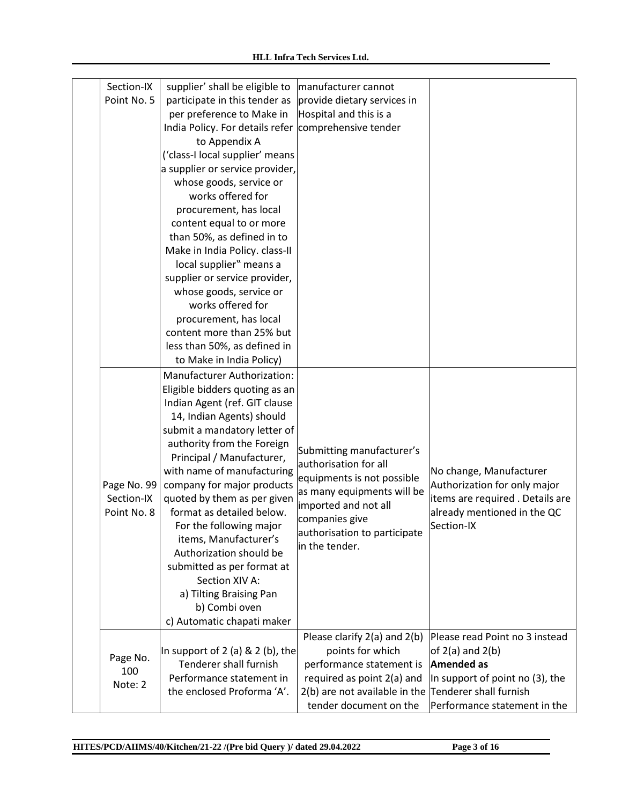| Section-IX<br>Point No. 5                | supplier' shall be eligible to<br>participate in this tender as<br>per preference to Make in<br>India Policy. For details refer<br>to Appendix A<br>('class-I local supplier' means<br>a supplier or service provider,<br>whose goods, service or<br>works offered for<br>procurement, has local<br>content equal to or more<br>than 50%, as defined in to<br>Make in India Policy. class-II<br>local supplier" means a<br>supplier or service provider,<br>whose goods, service or<br>works offered for<br>procurement, has local<br>content more than 25% but<br>less than 50%, as defined in<br>to Make in India Policy) | manufacturer cannot<br>provide dietary services in<br>Hospital and this is a<br>comprehensive tender                                                                                                       |                                                                                                                                          |
|------------------------------------------|-----------------------------------------------------------------------------------------------------------------------------------------------------------------------------------------------------------------------------------------------------------------------------------------------------------------------------------------------------------------------------------------------------------------------------------------------------------------------------------------------------------------------------------------------------------------------------------------------------------------------------|------------------------------------------------------------------------------------------------------------------------------------------------------------------------------------------------------------|------------------------------------------------------------------------------------------------------------------------------------------|
| Page No. 99<br>Section-IX<br>Point No. 8 | Manufacturer Authorization:<br>Eligible bidders quoting as an<br>Indian Agent (ref. GIT clause<br>14, Indian Agents) should<br>submit a mandatory letter of<br>authority from the Foreign<br>Principal / Manufacturer,<br>with name of manufacturing<br>company for major products<br>quoted by them as per given<br>format as detailed below.<br>For the following major<br>items, Manufacturer's<br>Authorization should be<br>submitted as per format at<br>Section XIV A:<br>a) Tilting Braising Pan<br>b) Combi oven<br>c) Automatic chapati maker                                                                     | Submitting manufacturer's<br>authorisation for all<br>equipments is not possible<br>as many equipments will be<br>imported and not all<br>companies give<br>authorisation to participate<br>in the tender. | No change, Manufacturer<br>Authorization for only major<br>items are required . Details are<br>already mentioned in the QC<br>Section-IX |
| Page No.<br>100<br>Note: 2               | In support of $2$ (a) $\& 2$ (b), the<br>Tenderer shall furnish<br>Performance statement in<br>the enclosed Proforma 'A'.                                                                                                                                                                                                                                                                                                                                                                                                                                                                                                   | Please clarify 2(a) and 2(b)<br>points for which<br>performance statement is<br>required as point 2(a) and<br>2(b) are not available in the Tenderer shall furnish<br>tender document on the               | Please read Point no 3 instead<br>of $2(a)$ and $2(b)$<br>Amended as<br>In support of point no (3), the<br>Performance statement in the  |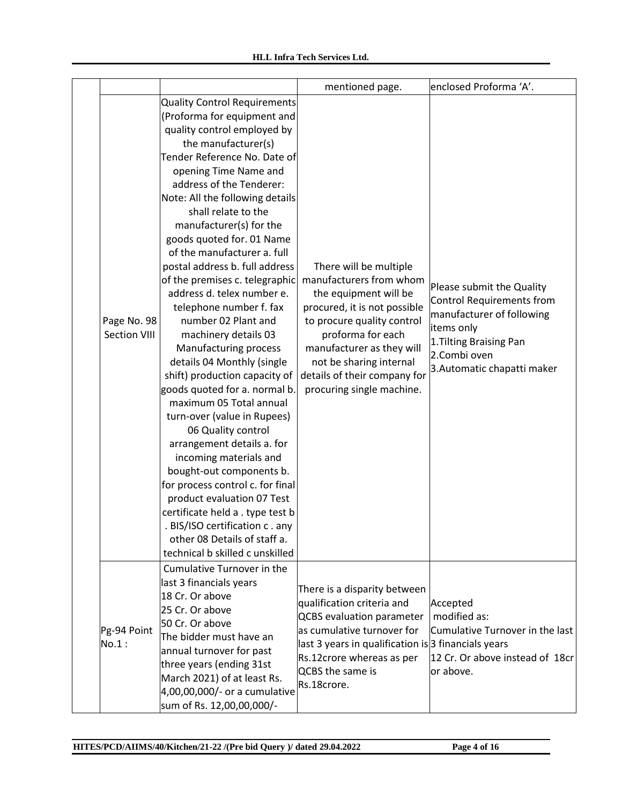|                             |                                                                                                                                                                                                                                                                                                                                                                                                                                                                                                                                                                                                                                                                                                                                                                                                                                                                                                                                                                                                                                                    | mentioned page.                                                                                                                                                                                                                                                                    | enclosed Proforma 'A'.                                                                                                                                                      |
|-----------------------------|----------------------------------------------------------------------------------------------------------------------------------------------------------------------------------------------------------------------------------------------------------------------------------------------------------------------------------------------------------------------------------------------------------------------------------------------------------------------------------------------------------------------------------------------------------------------------------------------------------------------------------------------------------------------------------------------------------------------------------------------------------------------------------------------------------------------------------------------------------------------------------------------------------------------------------------------------------------------------------------------------------------------------------------------------|------------------------------------------------------------------------------------------------------------------------------------------------------------------------------------------------------------------------------------------------------------------------------------|-----------------------------------------------------------------------------------------------------------------------------------------------------------------------------|
| Page No. 98<br>Section VIII | <b>Quality Control Requirements</b><br>(Proforma for equipment and<br>quality control employed by<br>the manufacturer(s)<br>Tender Reference No. Date of<br>opening Time Name and<br>address of the Tenderer:<br>Note: All the following details<br>shall relate to the<br>manufacturer(s) for the<br>goods quoted for. 01 Name<br>of the manufacturer a. full<br>postal address b. full address<br>of the premises c. telegraphic<br>address d. telex number e.<br>telephone number f. fax<br>number 02 Plant and<br>machinery details 03<br>Manufacturing process<br>details 04 Monthly (single<br>shift) production capacity of<br>goods quoted for a. normal b.<br>maximum 05 Total annual<br>turn-over (value in Rupees)<br>06 Quality control<br>arrangement details a. for<br>incoming materials and<br>bought-out components b.<br>for process control c. for final<br>product evaluation 07 Test<br>certificate held a . type test b<br>. BIS/ISO certification c. any<br>other 08 Details of staff a.<br>technical b skilled c unskilled | There will be multiple<br>manufacturers from whom<br>the equipment will be<br>procured, it is not possible<br>to procure quality control<br>proforma for each<br>manufacturer as they will<br>not be sharing internal<br>details of their company for<br>procuring single machine. | Please submit the Quality<br>Control Requirements from<br>manufacturer of following<br>items only<br>1. Tilting Braising Pan<br>2.Combi oven<br>3. Automatic chapatti maker |
| Pg-94 Point<br>No.1:        | Cumulative Turnover in the<br>last 3 financials years<br>18 Cr. Or above<br>25 Cr. Or above<br>50 Cr. Or above<br>The bidder must have an<br>annual turnover for past<br>three years (ending 31st<br>March 2021) of at least Rs.<br>4,00,00,000/- or a cumulative<br>sum of Rs. 12,00,00,000/-                                                                                                                                                                                                                                                                                                                                                                                                                                                                                                                                                                                                                                                                                                                                                     | There is a disparity between<br>qualification criteria and<br><b>QCBS</b> evaluation parameter<br>as cumulative turnover for<br>last 3 years in qualification is $3$ financials years<br>Rs.12crore whereas as per<br>QCBS the same is<br>Rs.18crore.                              | Accepted<br>modified as:<br>Cumulative Turnover in the last<br>12 Cr. Or above instead of 18cr<br>or above.                                                                 |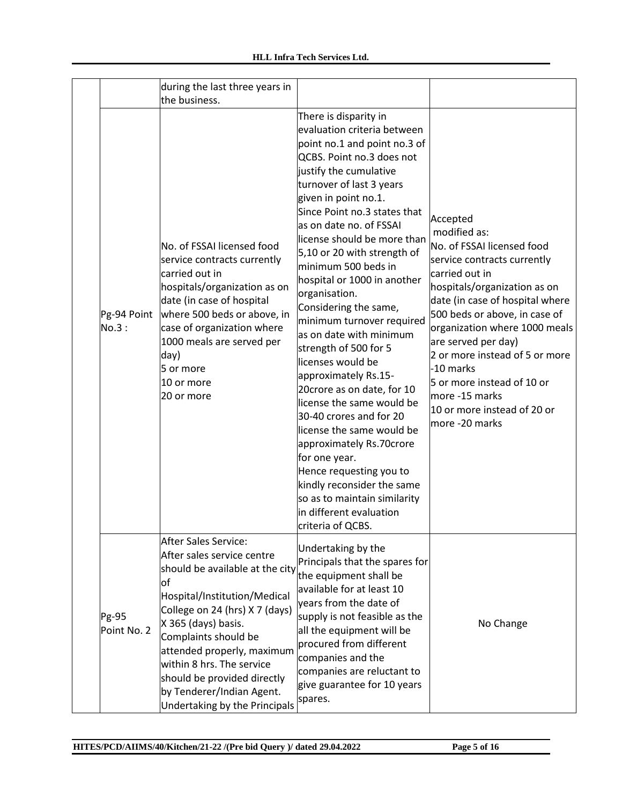|                      | during the last three years in                                                                                                                                                                                                                                                                                                                                               |                                                                                                                                                                                                                                                                                                                                                                                                                                                                                                                                                                                                                                                                                                                                                                                                                                                                 |                                                                                                                                                                                                                                                                                                                                                                                                                     |
|----------------------|------------------------------------------------------------------------------------------------------------------------------------------------------------------------------------------------------------------------------------------------------------------------------------------------------------------------------------------------------------------------------|-----------------------------------------------------------------------------------------------------------------------------------------------------------------------------------------------------------------------------------------------------------------------------------------------------------------------------------------------------------------------------------------------------------------------------------------------------------------------------------------------------------------------------------------------------------------------------------------------------------------------------------------------------------------------------------------------------------------------------------------------------------------------------------------------------------------------------------------------------------------|---------------------------------------------------------------------------------------------------------------------------------------------------------------------------------------------------------------------------------------------------------------------------------------------------------------------------------------------------------------------------------------------------------------------|
|                      | the business.                                                                                                                                                                                                                                                                                                                                                                |                                                                                                                                                                                                                                                                                                                                                                                                                                                                                                                                                                                                                                                                                                                                                                                                                                                                 |                                                                                                                                                                                                                                                                                                                                                                                                                     |
| Pg-94 Point<br>No.3: | No. of FSSAI licensed food<br>service contracts currently<br>carried out in<br>hospitals/organization as on<br>date (in case of hospital<br>where 500 beds or above, in<br>case of organization where<br>1000 meals are served per<br>day)<br>5 or more<br>10 or more<br>20 or more                                                                                          | There is disparity in<br>evaluation criteria between<br>point no.1 and point no.3 of<br>QCBS. Point no.3 does not<br>justify the cumulative<br>turnover of last 3 years<br>given in point no.1.<br>Since Point no.3 states that<br>as on date no. of FSSAI<br>license should be more than<br>5,10 or 20 with strength of<br>minimum 500 beds in<br>hospital or 1000 in another<br>organisation.<br>Considering the same,<br>minimum turnover required<br>as on date with minimum<br>strength of 500 for 5<br>licenses would be<br>approximately Rs.15-<br>20crore as on date, for 10<br>license the same would be<br>30-40 crores and for 20<br>license the same would be<br>approximately Rs.70crore<br>for one year.<br>Hence requesting you to<br>kindly reconsider the same<br>so as to maintain similarity<br>in different evaluation<br>criteria of QCBS. | Accepted<br>modified as:<br>No. of FSSAI licensed food<br>service contracts currently<br>carried out in<br>hospitals/organization as on<br>date (in case of hospital where<br>500 beds or above, in case of<br>organization where 1000 meals<br>are served per day)<br>2 or more instead of 5 or more<br>-10 marks<br>5 or more instead of 10 or<br>more -15 marks<br>10 or more instead of 20 or<br>more -20 marks |
| Pg-95<br>Point No. 2 | <b>After Sales Service:</b><br>After sales service centre<br>should be available at the city<br>lof<br>Hospital/Institution/Medical<br>College on 24 (hrs) X 7 (days)<br>X 365 (days) basis.<br>Complaints should be<br>attended properly, maximum<br>within 8 hrs. The service<br>should be provided directly<br>by Tenderer/Indian Agent.<br>Undertaking by the Principals | Undertaking by the<br>Principals that the spares for<br>the equipment shall be<br>available for at least 10<br>years from the date of<br>supply is not feasible as the<br>all the equipment will be<br>procured from different<br>companies and the<br>companies are reluctant to<br>give guarantee for 10 years<br>spares.                                                                                                                                                                                                                                                                                                                                                                                                                                                                                                                                     | No Change                                                                                                                                                                                                                                                                                                                                                                                                           |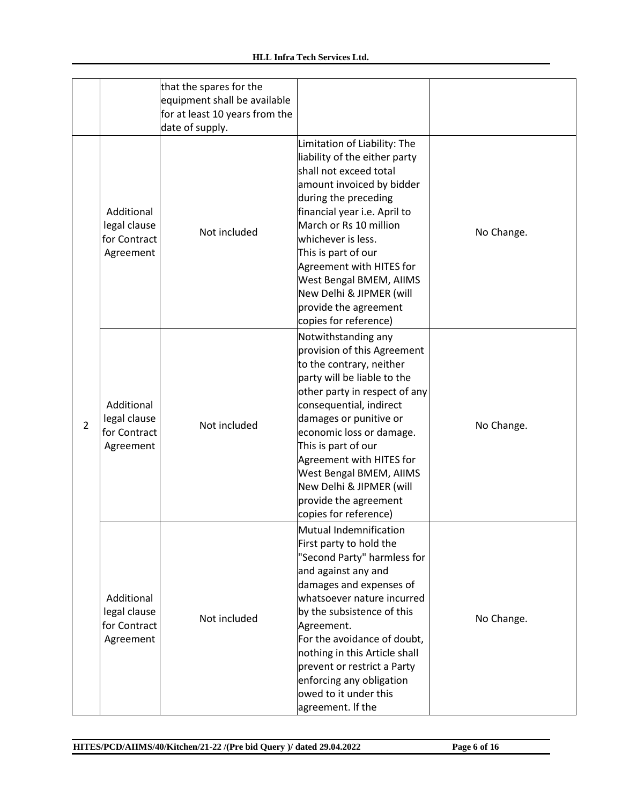|                |                                                         | that the spares for the        |                               |            |
|----------------|---------------------------------------------------------|--------------------------------|-------------------------------|------------|
|                |                                                         | equipment shall be available   |                               |            |
|                |                                                         | for at least 10 years from the |                               |            |
|                |                                                         | date of supply.                |                               |            |
|                |                                                         |                                | Limitation of Liability: The  |            |
|                |                                                         |                                | liability of the either party |            |
|                |                                                         |                                | shall not exceed total        |            |
|                |                                                         |                                | amount invoiced by bidder     |            |
|                |                                                         |                                | during the preceding          |            |
|                | Additional                                              |                                | financial year i.e. April to  |            |
|                | legal clause                                            |                                | March or Rs 10 million        |            |
|                | for Contract                                            | Not included                   | whichever is less.            | No Change. |
|                | Agreement                                               |                                | This is part of our           |            |
|                |                                                         |                                | Agreement with HITES for      |            |
|                |                                                         |                                | West Bengal BMEM, AIIMS       |            |
|                |                                                         |                                | New Delhi & JIPMER (will      |            |
|                |                                                         |                                | provide the agreement         |            |
|                |                                                         |                                | copies for reference)         |            |
|                |                                                         |                                | Notwithstanding any           |            |
|                | Additional<br>legal clause<br>for Contract<br>Agreement | Not included                   | provision of this Agreement   |            |
|                |                                                         |                                | to the contrary, neither      |            |
|                |                                                         |                                | party will be liable to the   |            |
|                |                                                         |                                | other party in respect of any |            |
|                |                                                         |                                |                               | No Change. |
|                |                                                         |                                | consequential, indirect       |            |
| $\overline{2}$ |                                                         |                                | damages or punitive or        |            |
|                |                                                         |                                | economic loss or damage.      |            |
|                |                                                         |                                | This is part of our           |            |
|                |                                                         |                                | Agreement with HITES for      |            |
|                |                                                         |                                | West Bengal BMEM, AIIMS       |            |
|                |                                                         |                                | New Delhi & JIPMER (will      |            |
|                |                                                         |                                | provide the agreement         |            |
|                |                                                         |                                | copies for reference)         |            |
|                |                                                         |                                | Mutual Indemnification        |            |
|                |                                                         |                                | First party to hold the       |            |
|                |                                                         |                                | "Second Party" harmless for   |            |
|                |                                                         |                                | and against any and           |            |
|                |                                                         |                                | damages and expenses of       |            |
|                | Additional                                              |                                | whatsoever nature incurred    |            |
|                | legal clause                                            | Not included                   | by the subsistence of this    | No Change. |
|                | for Contract                                            |                                | Agreement.                    |            |
|                | Agreement                                               |                                | For the avoidance of doubt,   |            |
|                |                                                         |                                | nothing in this Article shall |            |
|                |                                                         |                                | prevent or restrict a Party   |            |
|                |                                                         |                                | enforcing any obligation      |            |
|                |                                                         |                                | owed to it under this         |            |
|                |                                                         |                                | agreement. If the             |            |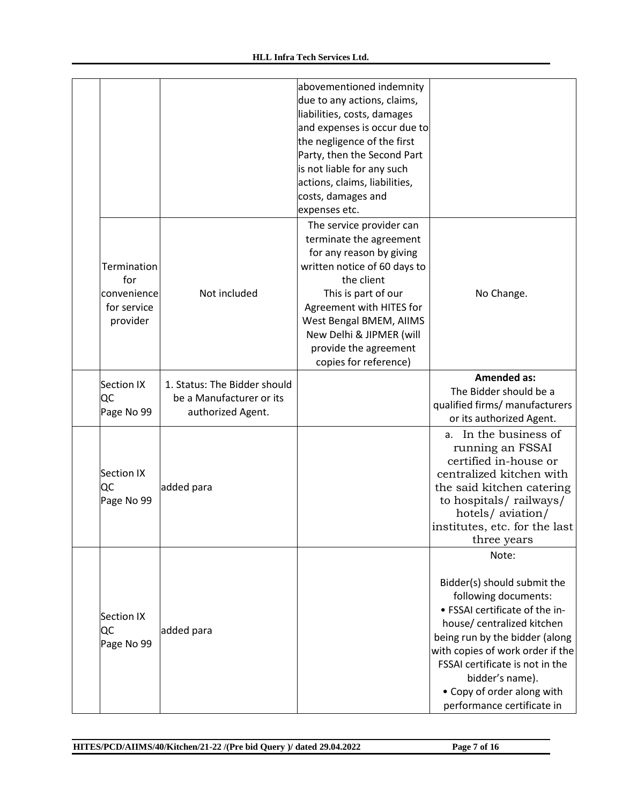|                                                              |                                                                               | abovementioned indemnity<br>due to any actions, claims,<br>liabilities, costs, damages<br>and expenses is occur due to<br>the negligence of the first<br>Party, then the Second Part<br>is not liable for any such<br>actions, claims, liabilities,<br>costs, damages and<br>expenses etc. |                                                                                                                                                                                                                                                                                                                      |
|--------------------------------------------------------------|-------------------------------------------------------------------------------|--------------------------------------------------------------------------------------------------------------------------------------------------------------------------------------------------------------------------------------------------------------------------------------------|----------------------------------------------------------------------------------------------------------------------------------------------------------------------------------------------------------------------------------------------------------------------------------------------------------------------|
| Termination<br>for<br>convenience<br>for service<br>provider | Not included                                                                  | The service provider can<br>terminate the agreement<br>for any reason by giving<br>written notice of 60 days to<br>the client<br>This is part of our<br>Agreement with HITES for<br>West Bengal BMEM, AIIMS<br>New Delhi & JIPMER (will<br>provide the agreement<br>copies for reference)  | No Change.                                                                                                                                                                                                                                                                                                           |
| Section IX<br>QC<br>Page No 99                               | 1. Status: The Bidder should<br>be a Manufacturer or its<br>authorized Agent. |                                                                                                                                                                                                                                                                                            | <b>Amended as:</b><br>The Bidder should be a<br>qualified firms/ manufacturers<br>or its authorized Agent.                                                                                                                                                                                                           |
| Section IX<br>QC<br>Page No 99                               | added para                                                                    |                                                                                                                                                                                                                                                                                            | a. In the business of<br>running an FSSAI<br>certified in-house or<br>centralized kitchen with<br>the said kitchen catering<br>to hospitals/railways/<br>hotels/aviation/<br>institutes, etc. for the last<br>three years                                                                                            |
| Section IX<br>QC<br>Page No 99                               | added para                                                                    |                                                                                                                                                                                                                                                                                            | Note:<br>Bidder(s) should submit the<br>following documents:<br>• FSSAI certificate of the in-<br>house/ centralized kitchen<br>being run by the bidder (along<br>with copies of work order if the<br>FSSAI certificate is not in the<br>bidder's name).<br>• Copy of order along with<br>performance certificate in |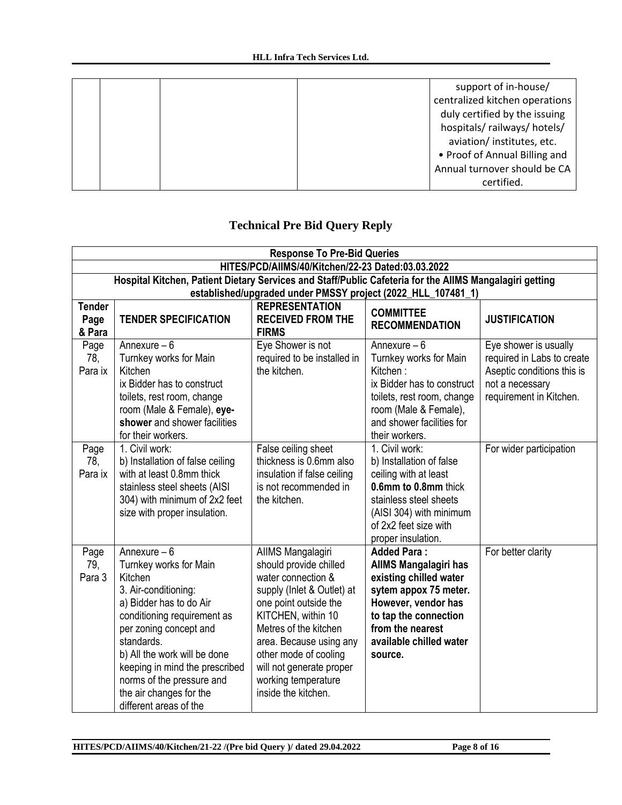|  | support of in-house/           |
|--|--------------------------------|
|  | centralized kitchen operations |
|  | duly certified by the issuing  |
|  | hospitals/railways/hotels/     |
|  | aviation/ institutes, etc.     |
|  | • Proof of Annual Billing and  |
|  | Annual turnover should be CA   |
|  | certified.                     |

# **Technical Pre Bid Query Reply**

|                                 | <b>Response To Pre-Bid Queries</b>                                                                                                                                                                                                                                                                                               |                                                                                                                                                                                                                                                                                                       |                                                                                                                                                                                                                 |                                                                                                                                 |  |  |
|---------------------------------|----------------------------------------------------------------------------------------------------------------------------------------------------------------------------------------------------------------------------------------------------------------------------------------------------------------------------------|-------------------------------------------------------------------------------------------------------------------------------------------------------------------------------------------------------------------------------------------------------------------------------------------------------|-----------------------------------------------------------------------------------------------------------------------------------------------------------------------------------------------------------------|---------------------------------------------------------------------------------------------------------------------------------|--|--|
|                                 | HITES/PCD/AIIMS/40/Kitchen/22-23 Dated:03.03.2022                                                                                                                                                                                                                                                                                |                                                                                                                                                                                                                                                                                                       |                                                                                                                                                                                                                 |                                                                                                                                 |  |  |
|                                 | Hospital Kitchen, Patient Dietary Services and Staff/Public Cafeteria for the AllMS Mangalagiri getting                                                                                                                                                                                                                          |                                                                                                                                                                                                                                                                                                       |                                                                                                                                                                                                                 |                                                                                                                                 |  |  |
|                                 | established/upgraded under PMSSY project (2022_HLL_107481_1)                                                                                                                                                                                                                                                                     |                                                                                                                                                                                                                                                                                                       |                                                                                                                                                                                                                 |                                                                                                                                 |  |  |
| <b>Tender</b><br>Page<br>& Para | <b>TENDER SPECIFICATION</b>                                                                                                                                                                                                                                                                                                      | <b>REPRESENTATION</b><br><b>RECEIVED FROM THE</b><br><b>FIRMS</b>                                                                                                                                                                                                                                     | <b>COMMITTEE</b><br><b>RECOMMENDATION</b>                                                                                                                                                                       | <b>JUSTIFICATION</b>                                                                                                            |  |  |
| Page<br>78,<br>Para ix          | Annexure $-6$<br>Turnkey works for Main<br>Kitchen<br>ix Bidder has to construct<br>toilets, rest room, change<br>room (Male & Female), eye-<br>shower and shower facilities<br>for their workers.                                                                                                                               | Eye Shower is not<br>required to be installed in<br>the kitchen.                                                                                                                                                                                                                                      | Annexure $-6$<br>Turnkey works for Main<br>Kitchen:<br>ix Bidder has to construct<br>toilets, rest room, change<br>room (Male & Female),<br>and shower facilities for<br>their workers.                         | Eye shower is usually<br>required in Labs to create<br>Aseptic conditions this is<br>not a necessary<br>requirement in Kitchen. |  |  |
| Page<br>78,<br>Para ix          | 1. Civil work:<br>b) Installation of false ceiling<br>with at least 0.8mm thick<br>stainless steel sheets (AISI<br>304) with minimum of 2x2 feet<br>size with proper insulation.                                                                                                                                                 | False ceiling sheet<br>thickness is 0.6mm also<br>insulation if false ceiling<br>is not recommended in<br>the kitchen.                                                                                                                                                                                | 1. Civil work:<br>b) Installation of false<br>ceiling with at least<br>0.6mm to 0.8mm thick<br>stainless steel sheets<br>(AISI 304) with minimum<br>of 2x2 feet size with<br>proper insulation.                 | For wider participation                                                                                                         |  |  |
| Page<br>79,<br>Para 3           | Annexure $-6$<br>Turnkey works for Main<br>Kitchen<br>3. Air-conditioning:<br>a) Bidder has to do Air<br>conditioning requirement as<br>per zoning concept and<br>standards.<br>b) All the work will be done<br>keeping in mind the prescribed<br>norms of the pressure and<br>the air changes for the<br>different areas of the | AllMS Mangalagiri<br>should provide chilled<br>water connection &<br>supply (Inlet & Outlet) at<br>one point outside the<br>KITCHEN, within 10<br>Metres of the kitchen<br>area. Because using any<br>other mode of cooling<br>will not generate proper<br>working temperature<br>inside the kitchen. | <b>Added Para:</b><br><b>AIIMS Mangalagiri has</b><br>existing chilled water<br>sytem appox 75 meter.<br>However, vendor has<br>to tap the connection<br>from the nearest<br>available chilled water<br>source. | For better clarity                                                                                                              |  |  |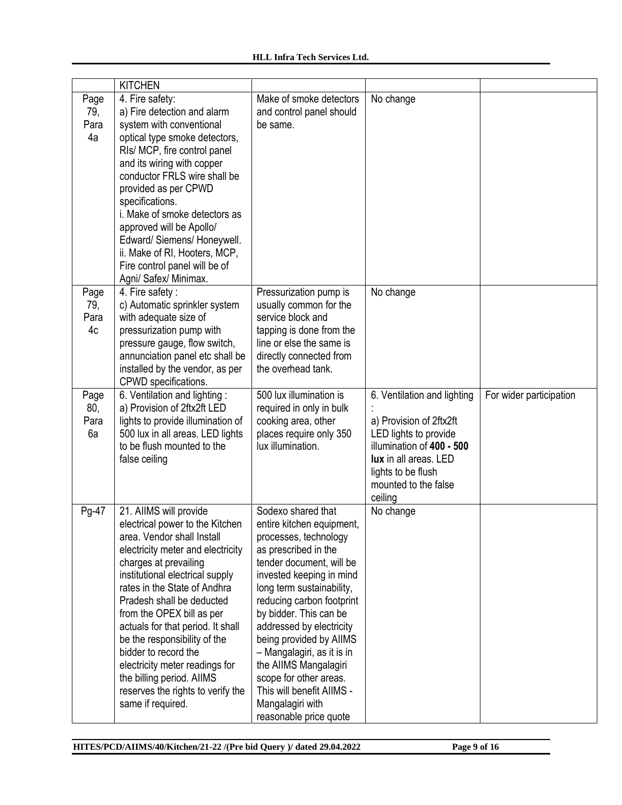|                           | <b>KITCHEN</b>                                                                                                                                                                                                                                                                                                                                                                                                                                                                                           |                                                                                                                                                                                                                                                                                                                                                                                                                                                                 |                                                                                                                                                                                                |                         |
|---------------------------|----------------------------------------------------------------------------------------------------------------------------------------------------------------------------------------------------------------------------------------------------------------------------------------------------------------------------------------------------------------------------------------------------------------------------------------------------------------------------------------------------------|-----------------------------------------------------------------------------------------------------------------------------------------------------------------------------------------------------------------------------------------------------------------------------------------------------------------------------------------------------------------------------------------------------------------------------------------------------------------|------------------------------------------------------------------------------------------------------------------------------------------------------------------------------------------------|-------------------------|
| Page<br>79,<br>Para<br>4a | 4. Fire safety:<br>a) Fire detection and alarm<br>system with conventional<br>optical type smoke detectors,<br>RIs/ MCP, fire control panel<br>and its wiring with copper<br>conductor FRLS wire shall be<br>provided as per CPWD<br>specifications.<br>i. Make of smoke detectors as<br>approved will be Apollo/<br>Edward/ Siemens/ Honeywell.<br>ii. Make of RI, Hooters, MCP,<br>Fire control panel will be of<br>Agni/ Safex/ Minimax.                                                              | Make of smoke detectors<br>and control panel should<br>be same.                                                                                                                                                                                                                                                                                                                                                                                                 | No change                                                                                                                                                                                      |                         |
| Page<br>79,<br>Para<br>4c | 4. Fire safety:<br>c) Automatic sprinkler system<br>with adequate size of<br>pressurization pump with<br>pressure gauge, flow switch,<br>annunciation panel etc shall be<br>installed by the vendor, as per<br>CPWD specifications.                                                                                                                                                                                                                                                                      | Pressurization pump is<br>usually common for the<br>service block and<br>tapping is done from the<br>line or else the same is<br>directly connected from<br>the overhead tank.                                                                                                                                                                                                                                                                                  | No change                                                                                                                                                                                      |                         |
| Page<br>80,<br>Para<br>6a | 6. Ventilation and lighting:<br>a) Provision of 2ftx2ft LED<br>lights to provide illumination of<br>500 lux in all areas. LED lights<br>to be flush mounted to the<br>false ceiling                                                                                                                                                                                                                                                                                                                      | 500 lux illumination is<br>required in only in bulk<br>cooking area, other<br>places require only 350<br>lux illumination.                                                                                                                                                                                                                                                                                                                                      | 6. Ventilation and lighting<br>a) Provision of 2ftx2ft<br>LED lights to provide<br>illumination of 400 - 500<br>lux in all areas. LED<br>lights to be flush<br>mounted to the false<br>ceiling | For wider participation |
| Pg-47                     | 21. AIIMS will provide<br>electrical power to the Kitchen<br>area. Vendor shall Install<br>electricity meter and electricity<br>charges at prevailing<br>institutional electrical supply<br>rates in the State of Andhra<br>Pradesh shall be deducted<br>from the OPEX bill as per<br>actuals for that period. It shall<br>be the responsibility of the<br>bidder to record the<br>electricity meter readings for<br>the billing period. AllMS<br>reserves the rights to verify the<br>same if required. | Sodexo shared that<br>entire kitchen equipment,<br>processes, technology<br>as prescribed in the<br>tender document, will be<br>invested keeping in mind<br>long term sustainability,<br>reducing carbon footprint<br>by bidder. This can be<br>addressed by electricity<br>being provided by AlIMS<br>- Mangalagiri, as it is in<br>the AIIMS Mangalagiri<br>scope for other areas.<br>This will benefit AllMS -<br>Mangalagiri with<br>reasonable price quote | No change                                                                                                                                                                                      |                         |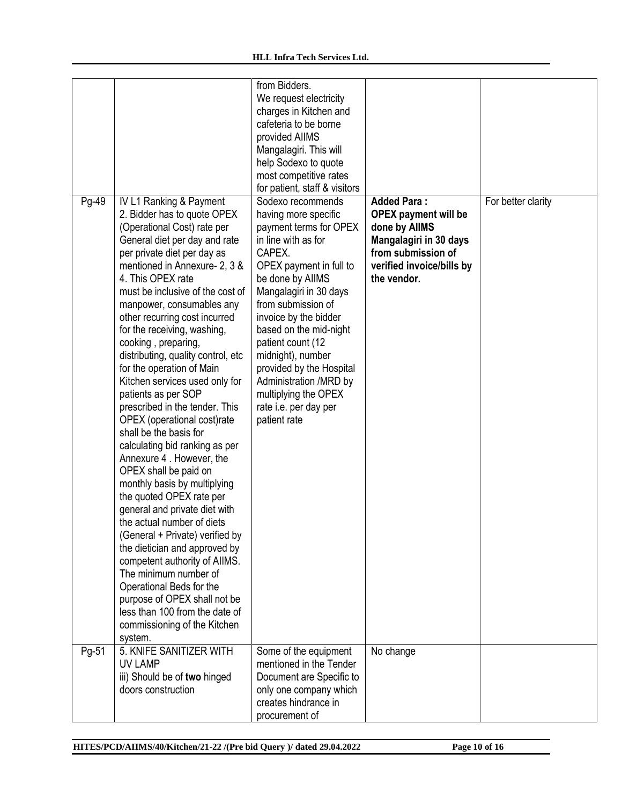|       |                                                                                                                                                                                                                                                                                                                                                                                                                                                                                                                                                                                                                                                                                                                                                                                                                                                                                                                                                                                                                                                                                                | from Bidders.<br>We request electricity<br>charges in Kitchen and<br>cafeteria to be borne<br>provided AIIMS<br>Mangalagiri. This will<br>help Sodexo to quote<br>most competitive rates<br>for patient, staff & visitors                                                                                                                                                                                               |                                                                                                                                                                |                    |
|-------|------------------------------------------------------------------------------------------------------------------------------------------------------------------------------------------------------------------------------------------------------------------------------------------------------------------------------------------------------------------------------------------------------------------------------------------------------------------------------------------------------------------------------------------------------------------------------------------------------------------------------------------------------------------------------------------------------------------------------------------------------------------------------------------------------------------------------------------------------------------------------------------------------------------------------------------------------------------------------------------------------------------------------------------------------------------------------------------------|-------------------------------------------------------------------------------------------------------------------------------------------------------------------------------------------------------------------------------------------------------------------------------------------------------------------------------------------------------------------------------------------------------------------------|----------------------------------------------------------------------------------------------------------------------------------------------------------------|--------------------|
| Pg-49 | <b>IV L1 Ranking &amp; Payment</b><br>2. Bidder has to quote OPEX<br>(Operational Cost) rate per<br>General diet per day and rate<br>per private diet per day as<br>mentioned in Annexure- 2, 3 &<br>4. This OPEX rate<br>must be inclusive of the cost of<br>manpower, consumables any<br>other recurring cost incurred<br>for the receiving, washing,<br>cooking, preparing,<br>distributing, quality control, etc<br>for the operation of Main<br>Kitchen services used only for<br>patients as per SOP<br>prescribed in the tender. This<br>OPEX (operational cost)rate<br>shall be the basis for<br>calculating bid ranking as per<br>Annexure 4. However, the<br>OPEX shall be paid on<br>monthly basis by multiplying<br>the quoted OPEX rate per<br>general and private diet with<br>the actual number of diets<br>(General + Private) verified by<br>the dietician and approved by<br>competent authority of AIIMS.<br>The minimum number of<br>Operational Beds for the<br>purpose of OPEX shall not be<br>less than 100 from the date of<br>commissioning of the Kitchen<br>system. | Sodexo recommends<br>having more specific<br>payment terms for OPEX<br>in line with as for<br>CAPEX.<br>OPEX payment in full to<br>be done by AllMS<br>Mangalagiri in 30 days<br>from submission of<br>invoice by the bidder<br>based on the mid-night<br>patient count (12<br>midnight), number<br>provided by the Hospital<br>Administration /MRD by<br>multiplying the OPEX<br>rate i.e. per day per<br>patient rate | <b>Added Para:</b><br><b>OPEX</b> payment will be<br>done by AllMS<br>Mangalagiri in 30 days<br>from submission of<br>verified invoice/bills by<br>the vendor. | For better clarity |
| Pg-51 | 5. KNIFE SANITIZER WITH<br>UV LAMP<br>iii) Should be of two hinged<br>doors construction                                                                                                                                                                                                                                                                                                                                                                                                                                                                                                                                                                                                                                                                                                                                                                                                                                                                                                                                                                                                       | Some of the equipment<br>mentioned in the Tender<br>Document are Specific to<br>only one company which<br>creates hindrance in<br>procurement of                                                                                                                                                                                                                                                                        | No change                                                                                                                                                      |                    |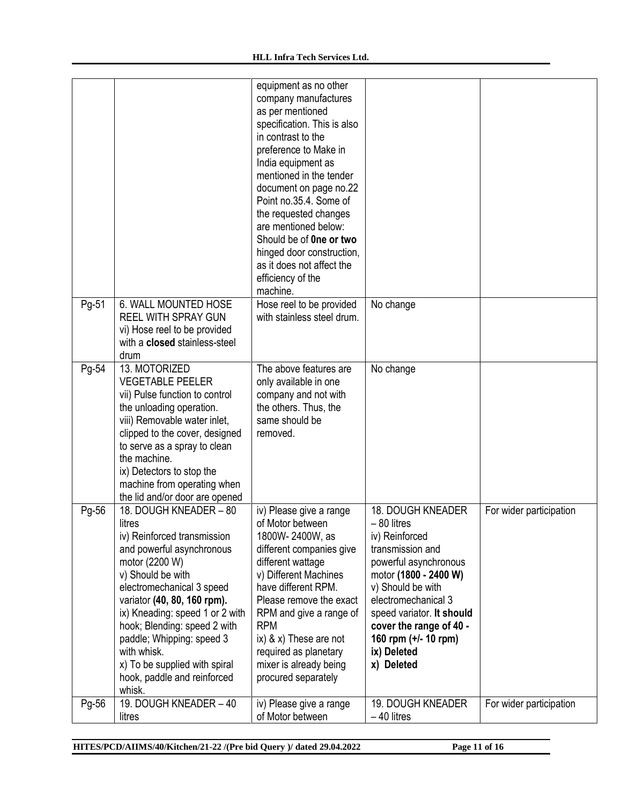|       |                                                                                                                                                                                                                                                                                                                                                                                          | equipment as no other<br>company manufactures<br>as per mentioned<br>specification. This is also<br>in contrast to the<br>preference to Make in<br>India equipment as<br>mentioned in the tender<br>document on page no.22<br>Point no.35.4. Some of<br>the requested changes<br>are mentioned below:<br>Should be of <b>One or two</b><br>hinged door construction,<br>as it does not affect the<br>efficiency of the<br>machine. |                                                                                                                                                                                                                                                                                    |                         |
|-------|------------------------------------------------------------------------------------------------------------------------------------------------------------------------------------------------------------------------------------------------------------------------------------------------------------------------------------------------------------------------------------------|------------------------------------------------------------------------------------------------------------------------------------------------------------------------------------------------------------------------------------------------------------------------------------------------------------------------------------------------------------------------------------------------------------------------------------|------------------------------------------------------------------------------------------------------------------------------------------------------------------------------------------------------------------------------------------------------------------------------------|-------------------------|
| Pg-51 | 6. WALL MOUNTED HOSE<br><b>REEL WITH SPRAY GUN</b><br>vi) Hose reel to be provided<br>with a closed stainless-steel<br>drum                                                                                                                                                                                                                                                              | Hose reel to be provided<br>with stainless steel drum.                                                                                                                                                                                                                                                                                                                                                                             | No change                                                                                                                                                                                                                                                                          |                         |
| Pg-54 | 13. MOTORIZED<br><b>VEGETABLE PEELER</b><br>vii) Pulse function to control<br>the unloading operation.<br>viii) Removable water inlet,<br>clipped to the cover, designed<br>to serve as a spray to clean<br>the machine.<br>ix) Detectors to stop the<br>machine from operating when<br>the lid and/or door are opened                                                                   | The above features are<br>only available in one<br>company and not with<br>the others. Thus, the<br>same should be<br>removed.                                                                                                                                                                                                                                                                                                     | No change                                                                                                                                                                                                                                                                          |                         |
| Pg-56 | 18. DOUGH KNEADER - 80<br>litres<br>iv) Reinforced transmission<br>and powerful asynchronous<br>motor (2200 W)<br>v) Should be with<br>electromechanical 3 speed<br>variator (40, 80, 160 rpm).<br>ix) Kneading: speed 1 or 2 with<br>hook; Blending: speed 2 with<br>paddle; Whipping: speed 3<br>with whisk.<br>x) To be supplied with spiral<br>hook, paddle and reinforced<br>whisk. | iv) Please give a range<br>of Motor between<br>1800W-2400W, as<br>different companies give<br>different wattage<br>v) Different Machines<br>have different RPM.<br>Please remove the exact<br>RPM and give a range of<br><b>RPM</b><br>$ix)$ & $x)$ These are not<br>required as planetary<br>mixer is already being<br>procured separately                                                                                        | 18. DOUGH KNEADER<br>$-80$ litres<br>iv) Reinforced<br>transmission and<br>powerful asynchronous<br>motor (1800 - 2400 W)<br>v) Should be with<br>electromechanical 3<br>speed variator. It should<br>cover the range of 40 -<br>160 rpm (+/- 10 rpm)<br>ix) Deleted<br>x) Deleted | For wider participation |
| Pg-56 | 19. DOUGH KNEADER - 40<br>litres                                                                                                                                                                                                                                                                                                                                                         | iv) Please give a range<br>of Motor between                                                                                                                                                                                                                                                                                                                                                                                        | 19. DOUGH KNEADER<br>$-40$ litres                                                                                                                                                                                                                                                  | For wider participation |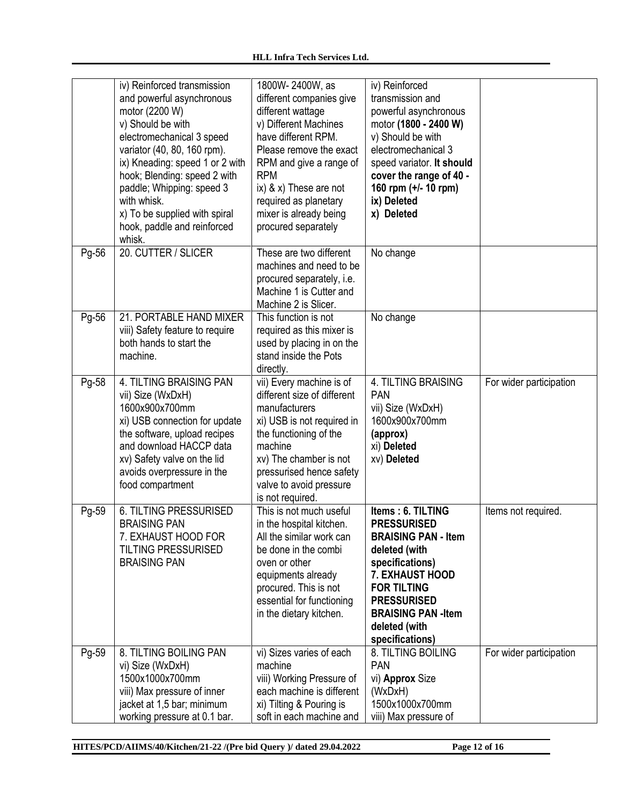|       | iv) Reinforced transmission<br>and powerful asynchronous<br>motor (2200 W)<br>v) Should be with<br>electromechanical 3 speed<br>variator (40, 80, 160 rpm).<br>ix) Kneading: speed 1 or 2 with<br>hook; Blending: speed 2 with<br>paddle; Whipping: speed 3<br>with whisk.<br>x) To be supplied with spiral<br>hook, paddle and reinforced<br>whisk. | 1800W-2400W, as<br>different companies give<br>different wattage<br>v) Different Machines<br>have different RPM.<br>Please remove the exact<br>RPM and give a range of<br><b>RPM</b><br>$ix)$ & $x)$ These are not<br>required as planetary<br>mixer is already being<br>procured separately | iv) Reinforced<br>transmission and<br>powerful asynchronous<br>motor (1800 - 2400 W)<br>v) Should be with<br>electromechanical 3<br>speed variator. It should<br>cover the range of 40 -<br>160 rpm (+/- 10 rpm)<br>ix) Deleted<br>x) Deleted   |                         |
|-------|------------------------------------------------------------------------------------------------------------------------------------------------------------------------------------------------------------------------------------------------------------------------------------------------------------------------------------------------------|----------------------------------------------------------------------------------------------------------------------------------------------------------------------------------------------------------------------------------------------------------------------------------------------|-------------------------------------------------------------------------------------------------------------------------------------------------------------------------------------------------------------------------------------------------|-------------------------|
| Pg-56 | 20. CUTTER / SLICER                                                                                                                                                                                                                                                                                                                                  | These are two different<br>machines and need to be<br>procured separately, i.e.<br>Machine 1 is Cutter and<br>Machine 2 is Slicer.                                                                                                                                                           | No change                                                                                                                                                                                                                                       |                         |
| Pg-56 | 21. PORTABLE HAND MIXER<br>viii) Safety feature to require<br>both hands to start the<br>machine.                                                                                                                                                                                                                                                    | This function is not<br>required as this mixer is<br>used by placing in on the<br>stand inside the Pots<br>directly.                                                                                                                                                                         | No change                                                                                                                                                                                                                                       |                         |
| Pg-58 | 4. TILTING BRAISING PAN<br>vii) Size (WxDxH)<br>1600x900x700mm<br>xi) USB connection for update<br>the software, upload recipes<br>and download HACCP data<br>xv) Safety valve on the lid<br>avoids overpressure in the<br>food compartment                                                                                                          | vii) Every machine is of<br>different size of different<br>manufacturers<br>xi) USB is not required in<br>the functioning of the<br>machine<br>xv) The chamber is not<br>pressurised hence safety<br>valve to avoid pressure<br>is not required.                                             | 4. TILTING BRAISING<br><b>PAN</b><br>vii) Size (WxDxH)<br>1600x900x700mm<br>(approx)<br>xi) Deleted<br>xv) Deleted                                                                                                                              | For wider participation |
| Pg-59 | <b>6. TILTING PRESSURISED</b><br><b>BRAISING PAN</b><br>7. EXHAUST HOOD FOR<br><b>TILTING PRESSURISED</b><br><b>BRAISING PAN</b>                                                                                                                                                                                                                     | This is not much useful<br>in the hospital kitchen.<br>All the similar work can<br>be done in the combi<br>oven or other<br>equipments already<br>procured. This is not<br>essential for functioning<br>in the dietary kitchen.                                                              | Items: 6. TILTING<br><b>PRESSURISED</b><br><b>BRAISING PAN - Item</b><br>deleted (with<br>specifications)<br><b>7. EXHAUST HOOD</b><br><b>FOR TILTING</b><br><b>PRESSURISED</b><br><b>BRAISING PAN-Item</b><br>deleted (with<br>specifications) | Items not required.     |
| Pg-59 | 8. TILTING BOILING PAN<br>vi) Size (WxDxH)<br>1500x1000x700mm<br>viii) Max pressure of inner<br>jacket at 1,5 bar; minimum<br>working pressure at 0.1 bar.                                                                                                                                                                                           | vi) Sizes varies of each<br>machine<br>viii) Working Pressure of<br>each machine is different<br>xi) Tilting & Pouring is<br>soft in each machine and                                                                                                                                        | 8. TILTING BOILING<br><b>PAN</b><br>vi) Approx Size<br>(WxDxH)<br>1500x1000x700mm<br>viii) Max pressure of                                                                                                                                      | For wider participation |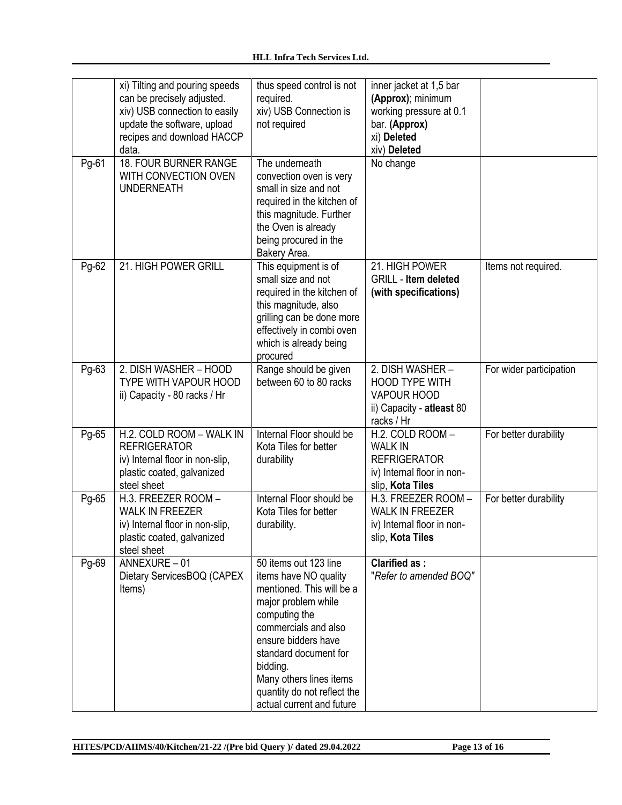|       | xi) Tilting and pouring speeds<br>can be precisely adjusted.<br>xiv) USB connection to easily<br>update the software, upload<br>recipes and download HACCP<br>data. | thus speed control is not<br>required.<br>xiv) USB Connection is<br>not required                                                                                                                                                                                                               | inner jacket at 1,5 bar<br>(Approx); minimum<br>working pressure at 0.1<br>bar. (Approx)<br>xi) Deleted<br>xiv) Deleted |                         |
|-------|---------------------------------------------------------------------------------------------------------------------------------------------------------------------|------------------------------------------------------------------------------------------------------------------------------------------------------------------------------------------------------------------------------------------------------------------------------------------------|-------------------------------------------------------------------------------------------------------------------------|-------------------------|
| Pg-61 | 18. FOUR BURNER RANGE<br>WITH CONVECTION OVEN<br><b>UNDERNEATH</b>                                                                                                  | The underneath<br>convection oven is very<br>small in size and not<br>required in the kitchen of<br>this magnitude. Further<br>the Oven is already<br>being procured in the<br>Bakery Area.                                                                                                    | No change                                                                                                               |                         |
| Pg-62 | 21. HIGH POWER GRILL                                                                                                                                                | This equipment is of<br>small size and not<br>required in the kitchen of<br>this magnitude, also<br>grilling can be done more<br>effectively in combi oven<br>which is already being<br>procured                                                                                               | 21. HIGH POWER<br><b>GRILL - Item deleted</b><br>(with specifications)                                                  | Items not required.     |
| Pg-63 | 2. DISH WASHER - HOOD<br>TYPE WITH VAPOUR HOOD<br>ii) Capacity - 80 racks / Hr                                                                                      | Range should be given<br>between 60 to 80 racks                                                                                                                                                                                                                                                | 2. DISH WASHER -<br><b>HOOD TYPE WITH</b><br><b>VAPOUR HOOD</b><br>ii) Capacity - atleast 80<br>racks / Hr              | For wider participation |
| Pg-65 | H.2. COLD ROOM - WALK IN<br><b>REFRIGERATOR</b><br>iv) Internal floor in non-slip,<br>plastic coated, galvanized<br>steel sheet                                     | Internal Floor should be<br>Kota Tiles for better<br>durability                                                                                                                                                                                                                                | H.2. COLD ROOM -<br><b>WALK IN</b><br><b>REFRIGERATOR</b><br>iv) Internal floor in non-<br>slip, Kota Tiles             | For better durability   |
| Pg-65 | H.3. FREEZER ROOM -<br><b>WALK IN FREEZER</b><br>iv) Internal floor in non-slip,<br>plastic coated, galvanized<br>steel sheet                                       | Internal Floor should be<br>Kota Tiles for better<br>durability.                                                                                                                                                                                                                               | H.3. FREEZER ROOM -<br><b>WALK IN FREEZER</b><br>iv) Internal floor in non-<br>slip, Kota Tiles                         | For better durability   |
| Pg-69 | ANNEXURE $-01$<br>Dietary ServicesBOQ (CAPEX<br>Items)                                                                                                              | 50 items out 123 line<br>items have NO quality<br>mentioned. This will be a<br>major problem while<br>computing the<br>commercials and also<br>ensure bidders have<br>standard document for<br>bidding.<br>Many others lines items<br>quantity do not reflect the<br>actual current and future | <b>Clarified as:</b><br>"Refer to amended BOQ"                                                                          |                         |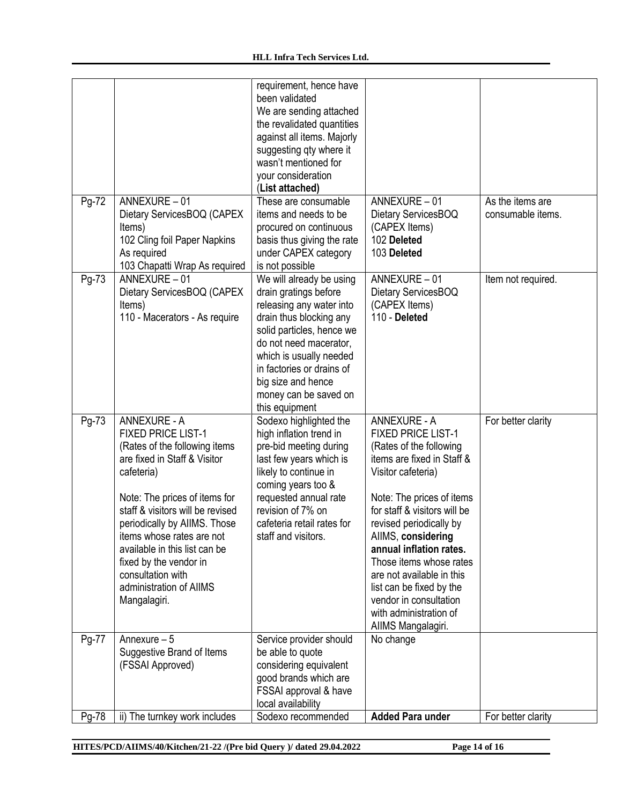|       |                                                                                                                                                                                                                                                                                                                                                                                              | requirement, hence have<br>been validated<br>We are sending attached<br>the revalidated quantities<br>against all items. Majorly<br>suggesting qty where it<br>wasn't mentioned for<br>your consideration<br>(List attached)                                                             |                                                                                                                                                                                                                                                                                                                                                                                                                                        |                                       |
|-------|----------------------------------------------------------------------------------------------------------------------------------------------------------------------------------------------------------------------------------------------------------------------------------------------------------------------------------------------------------------------------------------------|------------------------------------------------------------------------------------------------------------------------------------------------------------------------------------------------------------------------------------------------------------------------------------------|----------------------------------------------------------------------------------------------------------------------------------------------------------------------------------------------------------------------------------------------------------------------------------------------------------------------------------------------------------------------------------------------------------------------------------------|---------------------------------------|
| Pg-72 | ANNEXURE-01<br>Dietary ServicesBOQ (CAPEX<br>Items)<br>102 Cling foil Paper Napkins<br>As required<br>103 Chapatti Wrap As required                                                                                                                                                                                                                                                          | These are consumable<br>items and needs to be<br>procured on continuous<br>basis thus giving the rate<br>under CAPEX category<br>is not possible                                                                                                                                         | ANNEXURE - 01<br>Dietary ServicesBOQ<br>(CAPEX Items)<br>102 Deleted<br>103 Deleted                                                                                                                                                                                                                                                                                                                                                    | As the items are<br>consumable items. |
| Pg-73 | ANNEXURE-01<br>Dietary ServicesBOQ (CAPEX<br>Items)<br>110 - Macerators - As require                                                                                                                                                                                                                                                                                                         | We will already be using<br>drain gratings before<br>releasing any water into<br>drain thus blocking any<br>solid particles, hence we<br>do not need macerator,<br>which is usually needed<br>in factories or drains of<br>big size and hence<br>money can be saved on<br>this equipment | ANNEXURE-01<br>Dietary ServicesBOQ<br>(CAPEX Items)<br>110 - Deleted                                                                                                                                                                                                                                                                                                                                                                   | Item not required.                    |
| Pg-73 | <b>ANNEXURE - A</b><br><b>FIXED PRICE LIST-1</b><br>(Rates of the following items<br>are fixed in Staff & Visitor<br>cafeteria)<br>Note: The prices of items for<br>staff & visitors will be revised<br>periodically by AIIMS. Those<br>items whose rates are not<br>available in this list can be<br>fixed by the vendor in<br>consultation with<br>administration of AIIMS<br>Mangalagiri. | Sodexo highlighted the<br>high inflation trend in<br>pre-bid meeting during<br>last few years which is<br>likely to continue in<br>coming years too &<br>requested annual rate<br>revision of 7% on<br>cafeteria retail rates for<br>staff and visitors.                                 | <b>ANNEXURE - A</b><br><b>FIXED PRICE LIST-1</b><br>(Rates of the following<br>items are fixed in Staff &<br>Visitor cafeteria)<br>Note: The prices of items<br>for staff & visitors will be<br>revised periodically by<br>AllMS, considering<br>annual inflation rates.<br>Those items whose rates<br>are not available in this<br>list can be fixed by the<br>vendor in consultation<br>with administration of<br>AllMS Mangalagiri. | For better clarity                    |
| Pg-77 | Annexure $-5$<br>Suggestive Brand of Items<br>(FSSAI Approved)                                                                                                                                                                                                                                                                                                                               | Service provider should<br>be able to quote<br>considering equivalent<br>good brands which are<br>FSSAI approval & have<br>local availability                                                                                                                                            | No change                                                                                                                                                                                                                                                                                                                                                                                                                              |                                       |
| Pg-78 | ii) The turnkey work includes                                                                                                                                                                                                                                                                                                                                                                | Sodexo recommended                                                                                                                                                                                                                                                                       | <b>Added Para under</b>                                                                                                                                                                                                                                                                                                                                                                                                                | For better clarity                    |

**HITES/PCD/AIIMS/40/Kitchen/21-22 /(Pre bid Query )/ dated 29.04.2022 Page 14 of 16**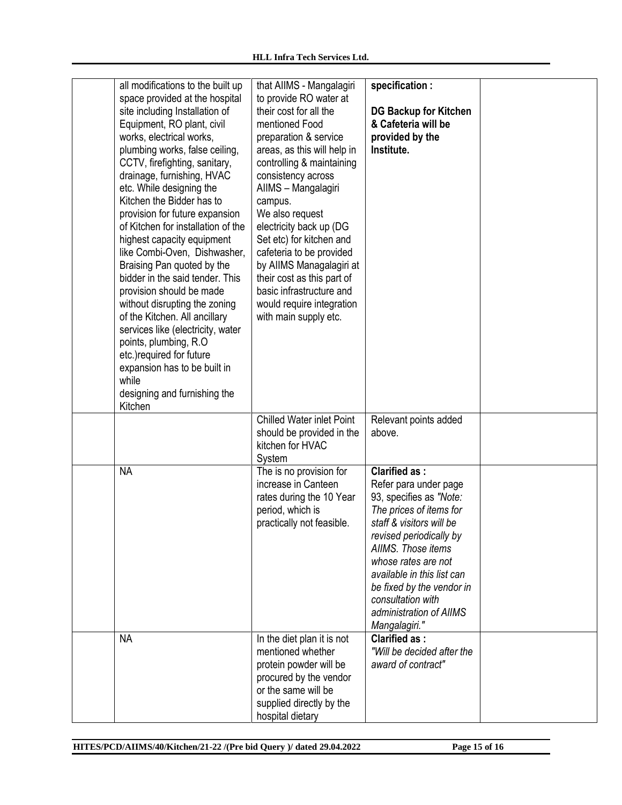| all modifications to the built up<br>space provided at the hospital<br>site including Installation of<br>Equipment, RO plant, civil<br>works, electrical works,<br>plumbing works, false ceiling,<br>CCTV, firefighting, sanitary,<br>drainage, furnishing, HVAC<br>etc. While designing the<br>Kitchen the Bidder has to<br>provision for future expansion<br>of Kitchen for installation of the<br>highest capacity equipment<br>like Combi-Oven, Dishwasher,<br>Braising Pan quoted by the<br>bidder in the said tender. This<br>provision should be made<br>without disrupting the zoning<br>of the Kitchen. All ancillary<br>services like (electricity, water<br>points, plumbing, R.O.<br>etc.) required for future<br>expansion has to be built in<br>while<br>designing and furnishing the<br>Kitchen | that AllMS - Mangalagiri<br>to provide RO water at<br>their cost for all the<br>mentioned Food<br>preparation & service<br>areas, as this will help in<br>controlling & maintaining<br>consistency across<br>AIIMS - Mangalagiri<br>campus.<br>We also request<br>electricity back up (DG<br>Set etc) for kitchen and<br>cafeteria to be provided<br>by AIIMS Managalagiri at<br>their cost as this part of<br>basic infrastructure and<br>would require integration<br>with main supply etc. | specification :<br><b>DG Backup for Kitchen</b><br>& Cafeteria will be<br>provided by the<br>Institute.                                                                                                                                                                                                                             |  |
|----------------------------------------------------------------------------------------------------------------------------------------------------------------------------------------------------------------------------------------------------------------------------------------------------------------------------------------------------------------------------------------------------------------------------------------------------------------------------------------------------------------------------------------------------------------------------------------------------------------------------------------------------------------------------------------------------------------------------------------------------------------------------------------------------------------|-----------------------------------------------------------------------------------------------------------------------------------------------------------------------------------------------------------------------------------------------------------------------------------------------------------------------------------------------------------------------------------------------------------------------------------------------------------------------------------------------|-------------------------------------------------------------------------------------------------------------------------------------------------------------------------------------------------------------------------------------------------------------------------------------------------------------------------------------|--|
|                                                                                                                                                                                                                                                                                                                                                                                                                                                                                                                                                                                                                                                                                                                                                                                                                | <b>Chilled Water inlet Point</b><br>should be provided in the<br>kitchen for HVAC<br>System                                                                                                                                                                                                                                                                                                                                                                                                   | Relevant points added<br>above.                                                                                                                                                                                                                                                                                                     |  |
| <b>NA</b>                                                                                                                                                                                                                                                                                                                                                                                                                                                                                                                                                                                                                                                                                                                                                                                                      | The is no provision for<br>increase in Canteen<br>rates during the 10 Year<br>period, which is<br>practically not feasible.                                                                                                                                                                                                                                                                                                                                                                   | <b>Clarified as:</b><br>Refer para under page<br>93, specifies as "Note:<br>The prices of items for<br>staff & visitors will be<br>revised periodically by<br>AIIMS. Those items<br>whose rates are not<br>available in this list can<br>be fixed by the vendor in<br>consultation with<br>administration of AIIMS<br>Mangalagiri." |  |
| <b>NA</b>                                                                                                                                                                                                                                                                                                                                                                                                                                                                                                                                                                                                                                                                                                                                                                                                      | In the diet plan it is not<br>mentioned whether<br>protein powder will be<br>procured by the vendor<br>or the same will be<br>supplied directly by the<br>hospital dietary                                                                                                                                                                                                                                                                                                                    | <b>Clarified as:</b><br>"Will be decided after the<br>award of contract"                                                                                                                                                                                                                                                            |  |